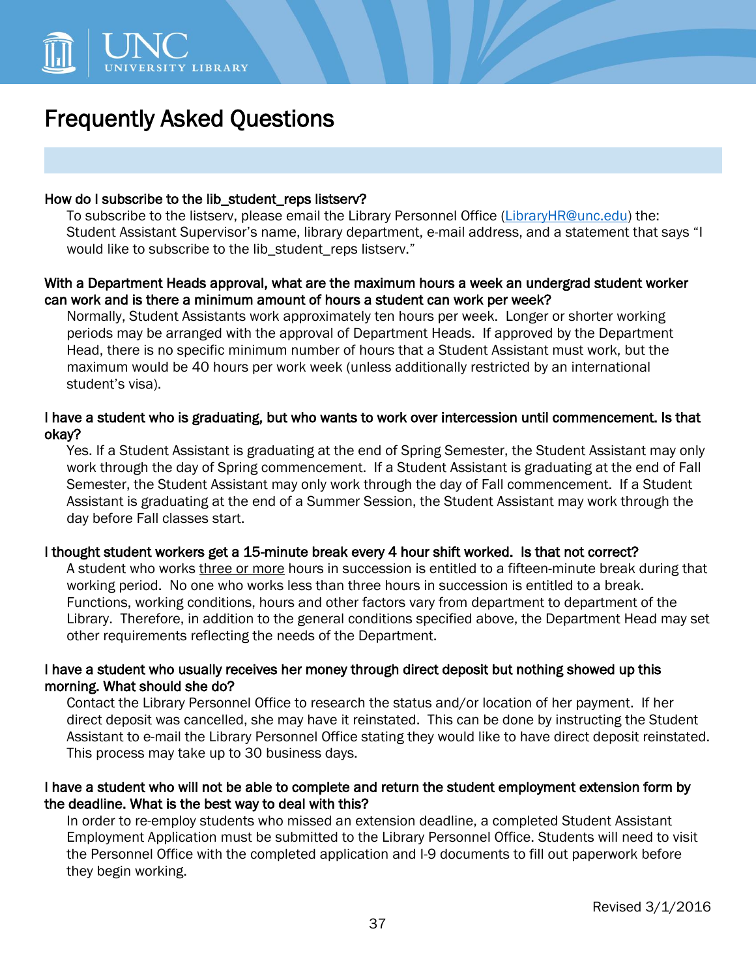

# Frequently Asked Questions

#### How do I subscribe to the lib\_student\_reps listserv?

To subscribe to the listserv, please email the Library Personnel Office [\(LibraryHR@unc.edu\)](mailto:LibraryHR@unc.edu) the: Student Assistant Supervisor's name, library department, e-mail address, and a statement that says "I would like to subscribe to the lib student reps listserv."

### With a Department Heads approval, what are the maximum hours a week an undergrad student worker can work and is there a minimum amount of hours a student can work per week?

Normally, Student Assistants work approximately ten hours per week. Longer or shorter working periods may be arranged with the approval of Department Heads. If approved by the Department Head, there is no specific minimum number of hours that a Student Assistant must work, but the maximum would be 40 hours per work week (unless additionally restricted by an international student's visa).

## I have a student who is graduating, but who wants to work over intercession until commencement. Is that okay?

Yes. If a Student Assistant is graduating at the end of Spring Semester, the Student Assistant may only work through the day of Spring commencement. If a Student Assistant is graduating at the end of Fall Semester, the Student Assistant may only work through the day of Fall commencement. If a Student Assistant is graduating at the end of a Summer Session, the Student Assistant may work through the day before Fall classes start.

### I thought student workers get a 15-minute break every 4 hour shift worked. Is that not correct?

A student who works three or more hours in succession is entitled to a fifteen-minute break during that working period. No one who works less than three hours in succession is entitled to a break. Functions, working conditions, hours and other factors vary from department to department of the Library. Therefore, in addition to the general conditions specified above, the Department Head may set other requirements reflecting the needs of the Department.

### I have a student who usually receives her money through direct deposit but nothing showed up this morning. What should she do?

Contact the Library Personnel Office to research the status and/or location of her payment. If her direct deposit was cancelled, she may have it reinstated. This can be done by instructing the Student Assistant to e-mail the Library Personnel Office stating they would like to have direct deposit reinstated. This process may take up to 30 business days.

## I have a student who will not be able to complete and return the student employment extension form by the deadline. What is the best way to deal with this?

In order to re-employ students who missed an extension deadline, a completed Student Assistant Employment Application must be submitted to the Library Personnel Office. Students will need to visit the Personnel Office with the completed application and I-9 documents to fill out paperwork before they begin working.